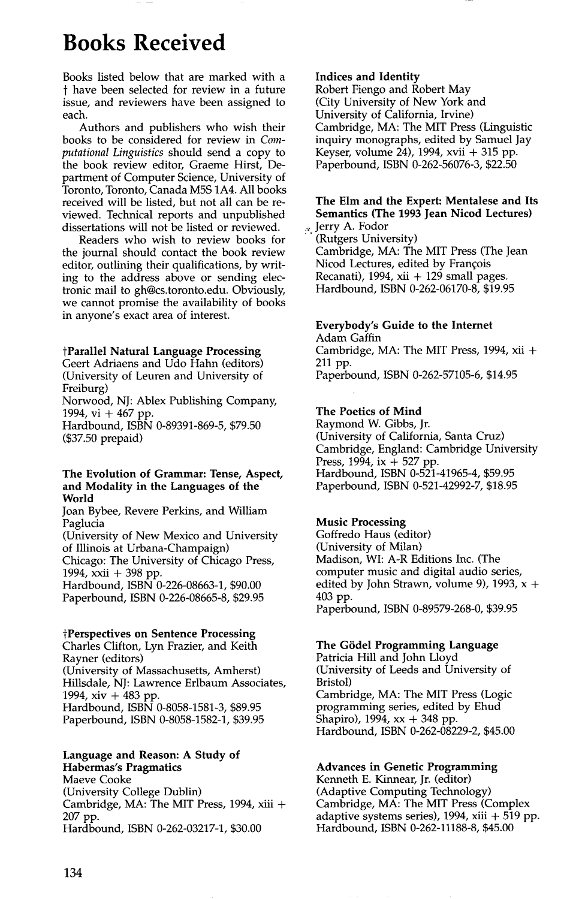# **Books Received**

Books listed below that are marked with a t have been selected for review in a future issue, and reviewers have been assigned to each.

Authors and publishers who wish their books to be considered for review in *Computational Linguistics* should send a copy to the book review editor, Graeme Hirst, Department of Computer Science, University of Toronto, Toronto, Canada M5S 1A4. All books received will be listed, but not all can be reviewed. Technical reports and unpublished dissertations will not be listed or reviewed.

Readers who wish to review books for the journal should contact the book review editor, outlining their qualifications, by writing to the address above or sending electronic mail to gh@cs.toronto.edu. Obviously, we cannot promise the availability of books in anyone's exact area of interest.

#### **tParallel Natural Language Processing**

Geert Adriaens and Udo Hahn (editors) (University of Leuren and University of Freiburg)

Norwood, NJ: Ablex Publishing Company, 1994, vi + 467 pp.

Hardbound, ISBN 0-89391-869-5, \$79.50 (\$37.50 prepaid)

#### **The Evolution of Grammar: Tense, Aspect, and Modality in the Languages of the World**

Joan Bybee, Revere Perkins, and William Paglucia

(University of New Mexico and University of Illinois at Urbana-Champaign) Chicago: The University of Chicago Press, 1994, xxii + 398 pp.

Hardbound, ISBN 0-226-08663-1, \$90.00 Paperbound, ISBN 0-226-08665-8, \$29.95

#### **tPerspectives on Sentence Processing**

Charles Clifton, Lyn Frazier, and Keith Rayner (editors) (University of Massachusetts, Amherst) Hillsdale, NJ: Lawrence Erlbaum Associates, 1994, xiv + 483 pp. Hardbound, ISBN 0-8058-1581-3, \$89.95 Paperbound, ISBN 0-8058-1582-1, \$39.95

## **Language and Reason: A Study of**

**Habermas's Pragmatics**  Maeve Cooke (University College Dublin) Cambridge, MA: The MIT Press, 1994, xiii + 207 pp. Hardbound, ISBN 0-262-03217-1, \$30.00

#### **Indices and Identity**

Robert Fiengo and Robert May (City University of New York and University of California, Irvine) Cambridge, MA: The MIT Press (Linguistic inquiry monographs, edited by Samuel Jay Keyser, volume 24), 1994, xvii + 315 pp. Paperbound, ISBN 0-262-56076-3, \$22.50

#### **The Elm and the Expert: Mentalese and Its Semantics (The 1993 Jean Nicod Lectures)**  Jerry A. Fodor

(Rutgers University) Cambridge, MA: The MIT Press (The Jean Nicod Lectures, edited by Frangois Recanati), 1994, xii  $+$  129 small pages. Hardbound, ISBN 0-262-06170-8, \$19.95

## **Everybody's Guide to the Internet**

Adam Gaffin Cambridge, MA: The MIT Press, 1994, xii + 211 pp. Paperbound, ISBN 0-262-57105-6, \$14.95

## **The Poetics of Mind**

Raymond W. Gibbs, Jr. (University of California, Santa Cruz) Cambridge, England: Cambridge University Press, 1994, ix + 527 pp. Hardbound, ISBN 0-521-41965-4, \$59.95 Paperbound, ISBN 0-521-42992-7, \$18.95

#### **Music Processing**

Goffredo Haus (editor) (University of Milan) Madison, WI: A-R Editions Inc. (The computer music and digital audio series, edited by John Strawn, volume 9), 1993,  $x +$ 403 pp. Paperbound, ISBN 0-89579-268-0, \$39.95

#### **The Gödel Programming Language**

Patricia Hill and John Lloyd (University of Leeds and University of Bristol) Cambridge, MA: The MIT Press (Logic programming series, edited by Ehud Shapiro), 1994, xx + 348 pp. Hardbound, ISBN 0-262-08229-2, \$45.00

## **Advances in Genetic Programming**

Kenneth E. Kinnear, Jr. (editor) (Adaptive Computing Technology) Cambridge, MA: The MIT Press (Complex adaptive systems series),  $1994$ , xiii  $+519$  pp. Hardbound, ISBN 0-262-11188-8, \$45.00